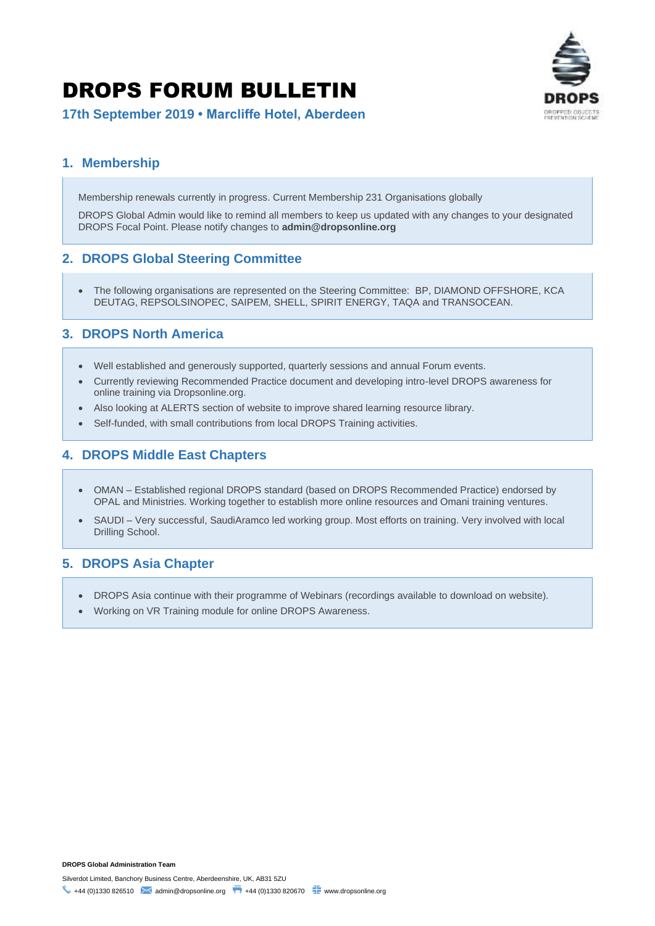# DROPS FORUM BULLETIN



**17th September 2019 • Marcliffe Hotel, Aberdeen**

# **1. Membership**

Membership renewals currently in progress. Current Membership 231 Organisations globally

DROPS Global Admin would like to remind all members to keep us updated with any changes to your designated DROPS Focal Point. Please notify changes to **admin@dropsonline.org**

# **2. DROPS Global Steering Committee**

• The following organisations are represented on the Steering Committee: BP, DIAMOND OFFSHORE, KCA DEUTAG, REPSOLSINOPEC, SAIPEM, SHELL, SPIRIT ENERGY, TAQA and TRANSOCEAN.

# **3. DROPS North America**

- Well established and generously supported, quarterly sessions and annual Forum events.
- Currently reviewing Recommended Practice document and developing intro-level DROPS awareness for online training via Dropsonline.org.
- Also looking at ALERTS section of website to improve shared learning resource library.
- Self-funded, with small contributions from local DROPS Training activities.

# **4. DROPS Middle East Chapters**

- OMAN Established regional DROPS standard (based on DROPS Recommended Practice) endorsed by OPAL and Ministries. Working together to establish more online resources and Omani training ventures.
- SAUDI Very successful, SaudiAramco led working group. Most efforts on training. Very involved with local Drilling School.

#### **5. DROPS Asia Chapter**

- DROPS Asia continue with their programme of Webinars (recordings available to download on website).
- Working on VR Training module for online DROPS Awareness.